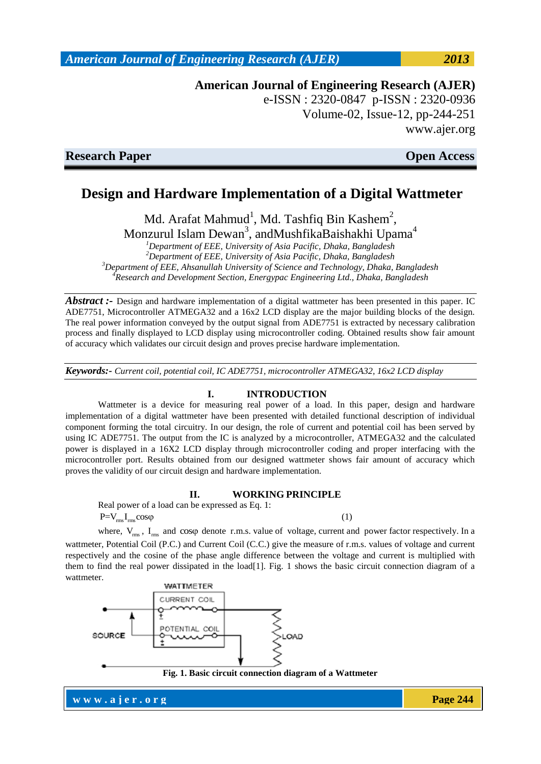**American Journal of Engineering Research (AJER)** e-ISSN : 2320-0847 p-ISSN : 2320-0936 Volume-02, Issue-12, pp-244-251 www.ajer.org

**Research Paper Open Access** 

# **Design and Hardware Implementation of a Digital Wattmeter**

Md. Arafat Mahmud<sup>1</sup>, Md. Tashfiq Bin Kashem<sup>2</sup>,

Monzurul Islam Dewan<sup>3</sup>, andMushfikaBaishakhi Upama<sup>4</sup> *<sup>1</sup>Department of EEE, University of Asia Pacific, Dhaka, Bangladesh*

*<sup>2</sup>Department of EEE, University of Asia Pacific, Dhaka, Bangladesh <sup>3</sup>Department of EEE, Ahsanullah University of Science and Technology, Dhaka, Bangladesh <sup>4</sup>Research and Development Section, Energypac Engineering Ltd., Dhaka, Bangladesh*

*Abstract* :- Design and hardware implementation of a digital wattmeter has been presented in this paper. IC ADE7751, Microcontroller ATMEGA32 and a 16x2 LCD display are the major building blocks of the design. The real power information conveyed by the output signal from ADE7751 is extracted by necessary calibration process and finally displayed to LCD display using microcontroller coding. Obtained results show fair amount of accuracy which validates our circuit design and proves precise hardware implementation.

*Keywords:- Current coil, potential coil, IC ADE7751, microcontroller ATMEGA32, 16x2 LCD display*

#### **I. INTRODUCTION**

Wattmeter is a device for measuring real power of a load. In this paper, design and hardware implementation of a digital wattmeter have been presented with detailed functional description of individual component forming the total circuitry. In our design, the role of current and potential coil has been served by using IC ADE7751. The output from the IC is analyzed by a microcontroller, ATMEGA32 and the calculated power is displayed in a 16X2 LCD display through microcontroller coding and proper interfacing with the microcontroller port. Results obtained from our designed wattmeter shows fair amount of accuracy which proves the validity of our circuit design and hardware implementation.

### **II. WORKING PRINCIPLE**

Real power of a load can be expressed as Eq. 1:  $P=V_{rms}I_{rms} \cos \varphi$  (1)

where,  $V_{rms}$ ,  $I_{rms}$  and  $cos\varphi$  denote r.m.s. value of voltage, current and power factor respectively. In a wattmeter, Potential Coil (P.C.) and Current Coil (C.C.) give the measure of r.m.s. values of voltage and current respectively and the cosine of the phase angle difference between the voltage and current is multiplied with them to find the real power dissipated in the load[1]. Fig. 1 shows the basic circuit connection diagram of a wattmeter.



**Fig. 1. Basic circuit connection diagram of a Wattmeter**

**w w w . a j e r . o r g Page 244**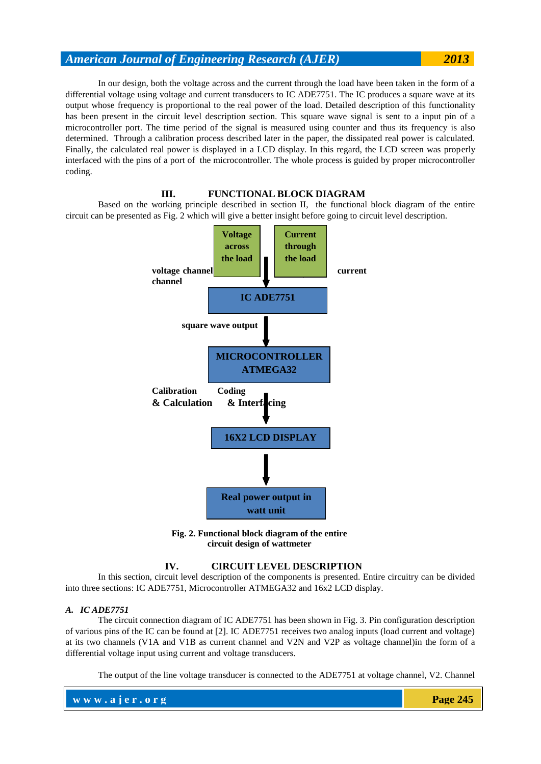In our design, both the voltage across and the current through the load have been taken in the form of a differential voltage using voltage and current transducers to IC ADE7751. The IC produces a square wave at its output whose frequency is proportional to the real power of the load. Detailed description of this functionality has been present in the circuit level description section. This square wave signal is sent to a input pin of a microcontroller port. The time period of the signal is measured using counter and thus its frequency is also determined. Through a calibration process described later in the paper, the dissipated real power is calculated. Finally, the calculated real power is displayed in a LCD display. In this regard, the LCD screen was properly interfaced with the pins of a port of the microcontroller. The whole process is guided by proper microcontroller coding.

#### **III. FUNCTIONAL BLOCK DIAGRAM**

Based on the working principle described in section II, the functional block diagram of the entire circuit can be presented as Fig. 2 which will give a better insight before going to circuit level description.



**Fig. 2. Functional block diagram of the entire circuit design of wattmeter**

#### **IV. CIRCUIT LEVEL DESCRIPTION**

In this section, circuit level description of the components is presented. Entire circuitry can be divided into three sections: IC ADE7751, Microcontroller ATMEGA32 and 16x2 LCD display.

#### *A. IC ADE7751*

The circuit connection diagram of IC ADE7751 has been shown in Fig. 3. Pin configuration description of various pins of the IC can be found at [2]. IC ADE7751 receives two analog inputs (load current and voltage) at its two channels (V1A and V1B as current channel and V2N and V2P as voltage channel)in the form of a differential voltage input using current and voltage transducers.

The output of the line voltage transducer is connected to the ADE7751 at voltage channel, V2. Channel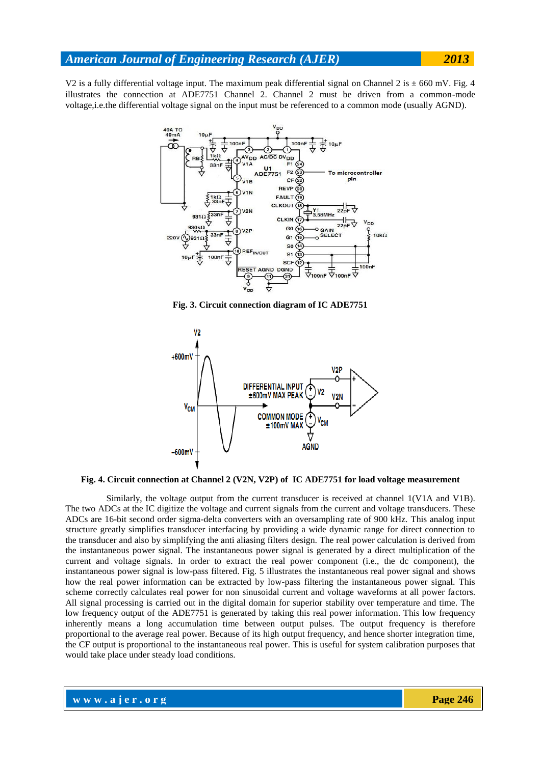V2 is a fully differential voltage input. The maximum peak differential signal on Channel 2 is  $\pm$  660 mV. Fig. 4 illustrates the connection at ADE7751 Channel 2. Channel 2 must be driven from a common-mode voltage,i.e.the differential voltage signal on the input must be referenced to a common mode (usually AGND).



**Fig. 3. Circuit connection diagram of IC ADE7751**



**Fig. 4. Circuit connection at Channel 2 (V2N, V2P) of IC ADE7751 for load voltage measurement**

 Similarly, the voltage output from the current transducer is received at channel 1(V1A and V1B). The two ADCs at the IC digitize the voltage and current signals from the current and voltage transducers. These ADCs are 16-bit second order sigma-delta converters with an oversampling rate of 900 kHz. This analog input structure greatly simplifies transducer interfacing by providing a wide dynamic range for direct connection to the transducer and also by simplifying the anti aliasing filters design. The real power calculation is derived from the instantaneous power signal. The instantaneous power signal is generated by a direct multiplication of the current and voltage signals. In order to extract the real power component (i.e., the dc component), the instantaneous power signal is low-pass filtered. Fig. 5 illustrates the instantaneous real power signal and shows how the real power information can be extracted by low-pass filtering the instantaneous power signal. This scheme correctly calculates real power for non sinusoidal current and voltage waveforms at all power factors. All signal processing is carried out in the digital domain for superior stability over temperature and time. The low frequency output of the ADE7751 is generated by taking this real power information. This low frequency inherently means a long accumulation time between output pulses. The output frequency is therefore proportional to the average real power. Because of its high output frequency, and hence shorter integration time, the CF output is proportional to the instantaneous real power. This is useful for system calibration purposes that would take place under steady load conditions.

**w w w . a j e r . o r g Page 246**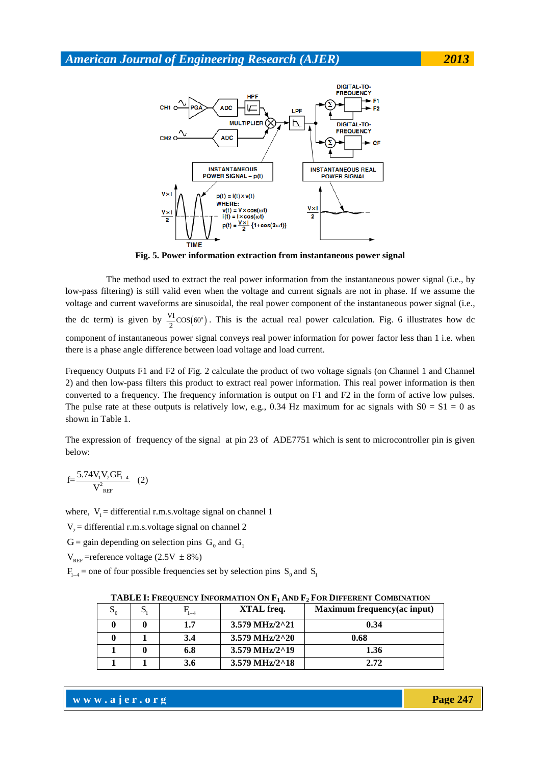

**Fig. 5. Power information extraction from instantaneous power signal** 

 The method used to extract the real power information from the instantaneous power signal (i.e., by low-pass filtering) is still valid even when the voltage and current signals are not in phase. If we assume the voltage and current waveforms are sinusoidal, the real power component of the instantaneous power signal (i.e., the dc term) is given by  $\frac{VI}{2}$ COS(60°). This is the actual real power calculation. Fig. 6 illustrates how dc component of instantaneous power signal conveys real power information for power factor less than 1 i.e. when there is a phase angle difference between load voltage and load current.

Frequency Outputs F1 and F2 of Fig. 2 calculate the product of two voltage signals (on Channel 1 and Channel 2) and then low-pass filters this product to extract real power information. This real power information is then converted to a frequency. The frequency information is output on F1 and F2 in the form of active low pulses. The pulse rate at these outputs is relatively low, e.g., 0.34 Hz maximum for ac signals with  $S0 = S1 = 0$  as shown in Table 1.

The expression of frequency of the signal at pin 23 of ADE7751 which is sent to microcontroller pin is given below:

$$
f = \frac{5.74 V_1 V_2 G F_{1-4}}{V_{REF}^2}
$$
 (2)

where,  $V_1$  = differential r.m.s.voltage signal on channel 1

 $V_2$  = differential r.m.s.voltage signal on channel 2

 $G =$  gain depending on selection pins  $G_0$  and  $G_1$ 

 $V_{REF}$ =reference voltage (2.5V  $\pm$  8%)

 $F_{1-4}$  = one of four possible frequencies set by selection pins S<sub>0</sub> and S<sub>1</sub>

| $S_0$ | د | $\mathrm{F_{l-4}}$ | XTAL freq.                          | Maximum frequency (ac input) |
|-------|---|--------------------|-------------------------------------|------------------------------|
|       |   | 1.7                | $3.579 \text{ MHz}/2^2$             | 0.34                         |
|       |   | 3.4                | 3.579 MHz/2^20                      | 0.68                         |
|       |   | 6.8                | $3.579 \,\mathrm{MHz}/2^{\wedge}19$ | 1.36                         |
|       |   | 3.6                | 3.579 MHz/2^18                      | 2.72                         |

**TABLE I: FREQUENCY INFORMATION ON F<sup>1</sup> AND F<sup>2</sup> FOR DIFFERENT COMBINATION**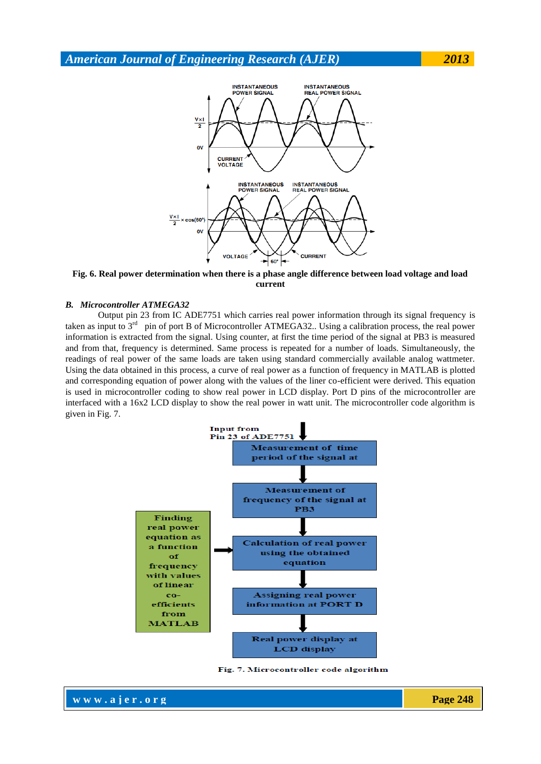

**Fig. 6. Real power determination when there is a phase angle difference between load voltage and load current**

#### *B. Microcontroller ATMEGA32*

Output pin 23 from IC ADE7751 which carries real power information through its signal frequency is taken as input to 3<sup>rd</sup> pin of port B of Microcontroller ATMEGA32.. Using a calibration process, the real power information is extracted from the signal. Using counter, at first the time period of the signal at PB3 is measured and from that, frequency is determined. Same process is repeated for a number of loads. Simultaneously, the readings of real power of the same loads are taken using standard commercially available analog wattmeter. Using the data obtained in this process, a curve of real power as a function of frequency in MATLAB is plotted and corresponding equation of power along with the values of the liner co-efficient were derived. This equation is used in microcontroller coding to show real power in LCD display. Port D pins of the microcontroller are interfaced with a 16x2 LCD display to show the real power in watt unit. The microcontroller code algorithm is given in Fig. 7.



Fig. 7. Microcontroller code algorithm

**www.ajer.org Page 248**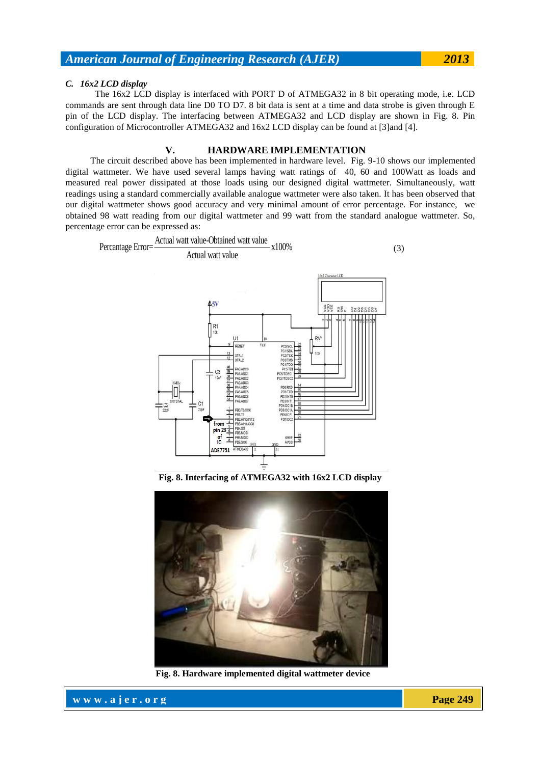#### *C. 16x2 LCD display*

 The 16x2 LCD display is interfaced with PORT D of ATMEGA32 in 8 bit operating mode, i.e. LCD commands are sent through data line D0 TO D7. 8 bit data is sent at a time and data strobe is given through E pin of the LCD display. The interfacing between ATMEGA32 and LCD display are shown in Fig. 8. Pin configuration of Microcontroller ATMEGA32 and 16x2 LCD display can be found at [3]and [4].

#### **V. HARDWARE IMPLEMENTATION**

 The circuit described above has been implemented in hardware level. Fig. 9-10 shows our implemented digital wattmeter. We have used several lamps having watt ratings of 40, 60 and 100Watt as loads and measured real power dissipated at those loads using our designed digital wattmeter. Simultaneously, watt readings using a standard commercially available analogue wattmeter were also taken. It has been observed that our digital wattmeter shows good accuracy and very minimal amount of error percentage. For instance, we obtained 98 watt reading from our digital wattmeter and 99 watt from the standard analogue wattmeter. So, percentage error can be expressed as:



**Fig. 8. Interfacing of ATMEGA32 with 16x2 LCD display** 



**Fig. 8. Hardware implemented digital wattmeter device** 

**www.ajer.org Page 249**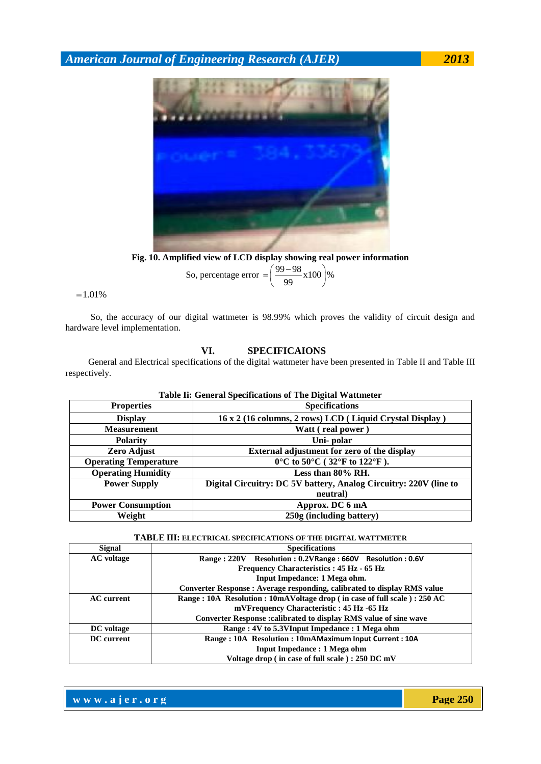

**Fig. 10. Amplified view of LCD display showing real power information** 

So, percentage error = 
$$
\left(\frac{99-98}{99} \times 100\right)\%
$$

 $=1.01%$ 

 So, the accuracy of our digital wattmeter is 98.99% which proves the validity of circuit design and hardware level implementation.

## **VI. SPECIFICAIONS**

 General and Electrical specifications of the digital wattmeter have been presented in Table II and Table III respectively.

| Table II: General Specifications of the Digital Wattmeter |                                                                   |  |  |
|-----------------------------------------------------------|-------------------------------------------------------------------|--|--|
| <b>Properties</b>                                         | <b>Specifications</b>                                             |  |  |
| <b>Display</b>                                            | 16 x 2 (16 columns, 2 rows) LCD (Liquid Crystal Display)          |  |  |
| <b>Measurement</b>                                        | Watt (real power)                                                 |  |  |
| <b>Polarity</b>                                           | Uni-polar                                                         |  |  |
| Zero Adjust                                               | External adjustment for zero of the display                       |  |  |
| <b>Operating Temperature</b>                              | $0^{\circ}$ C to 50°C (32°F to 122°F).                            |  |  |
| <b>Operating Humidity</b>                                 | Less than $80\%$ RH.                                              |  |  |
| <b>Power Supply</b>                                       | Digital Circuitry: DC 5V battery, Analog Circuitry: 220V (line to |  |  |
|                                                           | neutral)                                                          |  |  |
| <b>Power Consumption</b>                                  | Approx. DC 6 mA                                                   |  |  |
| Weight                                                    | 250g (including battery)                                          |  |  |

## **Table Ii: General Specifications of The Digital Wattmeter**

#### **TABLE III: ELECTRICAL SPECIFICATIONS OF THE DIGITAL WATTMETER**

| <b>Signal</b>     | <b>Specifications</b>                                                    |  |
|-------------------|--------------------------------------------------------------------------|--|
| <b>AC</b> voltage | Range: 220V Resolution: 0.2VRange: 660V Resolution: 0.6V                 |  |
|                   | Frequency Characteristics: 45 Hz - 65 Hz                                 |  |
|                   | Input Impedance: 1 Mega ohm.                                             |  |
|                   | Converter Response : Average responding, calibrated to display RMS value |  |
| <b>AC</b> current | Range: 10A Resolution: 10mAVoltage drop (in case of full scale): 250 AC  |  |
|                   | mVFrequency Characteristic: 45 Hz -65 Hz                                 |  |
|                   | Converter Response : calibrated to display RMS value of sine wave        |  |
| DC voltage        | Range: 4V to 5.3VInput Impedance: 1 Mega ohm                             |  |
| DC current        | Range: 10A Resolution: 10mAMaximum Input Current: 10A                    |  |
|                   | <b>Input Impedance : 1 Mega ohm</b>                                      |  |
|                   | Voltage drop (in case of full scale): 250 DC mV                          |  |

**www.ajer.org Page 250**